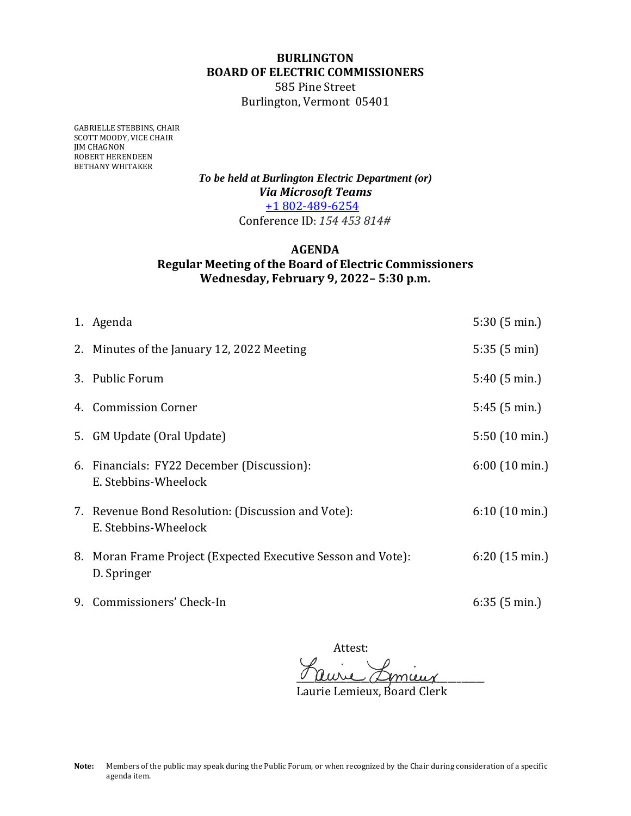## **BURLINGTON BOARD OF ELECTRIC COMMISSIONERS**

585 Pine Street Burlington, Vermont 05401

GABRIELLE STEBBINS, CHAIR SCOTT MOODY, VICE CHAIR JIM CHAGNON ROBERT HERENDEEN BETHANY WHITAKER

> *To be held at Burlington Electric Department (or) Via Microsoft Teams* +1 802-489-6254 Conference ID: *154 453 814#*

## **AGENDA Regular Meeting of the Board of Electric Commissioners Wednesday, February 9, 2022– 5:30 p.m.**

| 1. Agenda                                                                   | 5:30(5 min.)            |
|-----------------------------------------------------------------------------|-------------------------|
| 2. Minutes of the January 12, 2022 Meeting                                  | 5:35(5 min)             |
| 3. Public Forum                                                             | $5:40(5 \text{ min.})$  |
| 4. Commission Corner                                                        | 5:45(5 min.)            |
| 5. GM Update (Oral Update)                                                  | $5:50(10 \text{ min.})$ |
| 6. Financials: FY22 December (Discussion):<br>E. Stebbins-Wheelock          | $6:00(10 \text{ min.})$ |
| 7. Revenue Bond Resolution: (Discussion and Vote):<br>E. Stebbins-Wheelock  | $6:10(10 \text{ min.})$ |
| 8. Moran Frame Project (Expected Executive Sesson and Vote):<br>D. Springer | 6:20(15 min.)           |
| 9. Commissioners' Check-In                                                  | 6:35(5 min.)            |

Attest: <u>v uuril almaig</u>

Laurie Lemieux, Board Clerk